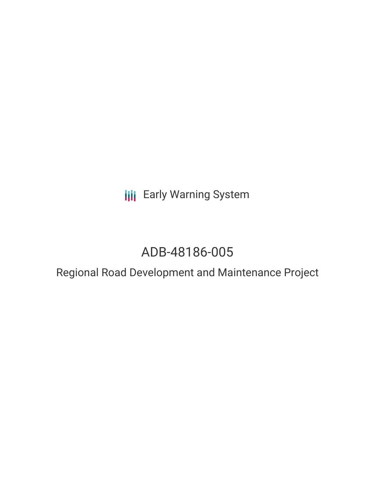**III** Early Warning System

# ADB-48186-005

Regional Road Development and Maintenance Project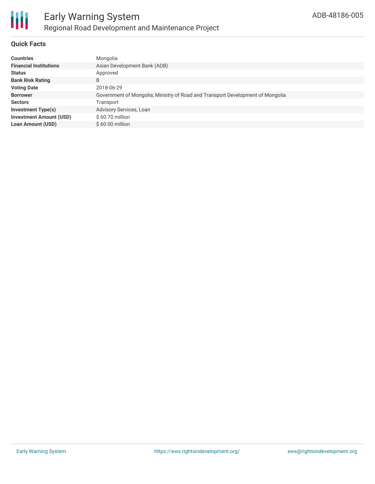

# **Quick Facts**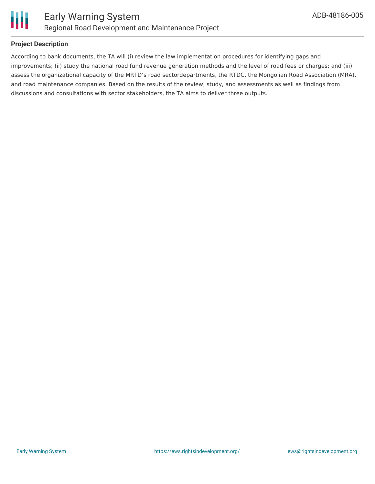

# **Project Description**

According to bank documents, the TA will (i) review the law implementation procedures for identifying gaps and improvements; (ii) study the national road fund revenue generation methods and the level of road fees or charges; and (iii) assess the organizational capacity of the MRTD's road sectordepartments, the RTDC, the Mongolian Road Association (MRA), and road maintenance companies. Based on the results of the review, study, and assessments as well as findings from discussions and consultations with sector stakeholders, the TA aims to deliver three outputs.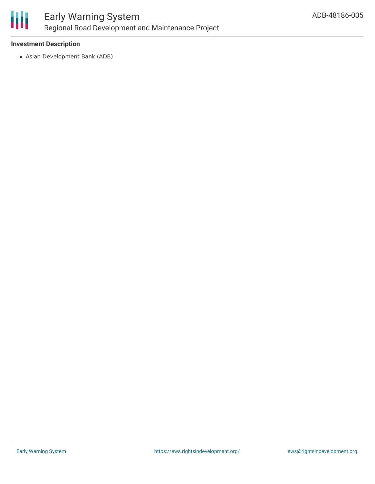

### **Investment Description**

Asian Development Bank (ADB)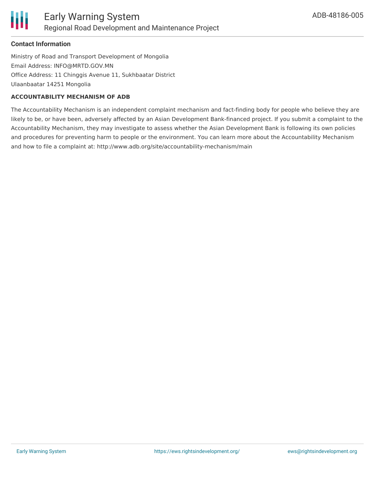

# **Contact Information**

Ministry of Road and Transport Development of Mongolia Email Address: INFO@MRTD.GOV.MN Office Address: 11 Chinggis Avenue 11, Sukhbaatar District Ulaanbaatar 14251 Mongolia

#### **ACCOUNTABILITY MECHANISM OF ADB**

The Accountability Mechanism is an independent complaint mechanism and fact-finding body for people who believe they are likely to be, or have been, adversely affected by an Asian Development Bank-financed project. If you submit a complaint to the Accountability Mechanism, they may investigate to assess whether the Asian Development Bank is following its own policies and procedures for preventing harm to people or the environment. You can learn more about the Accountability Mechanism and how to file a complaint at: http://www.adb.org/site/accountability-mechanism/main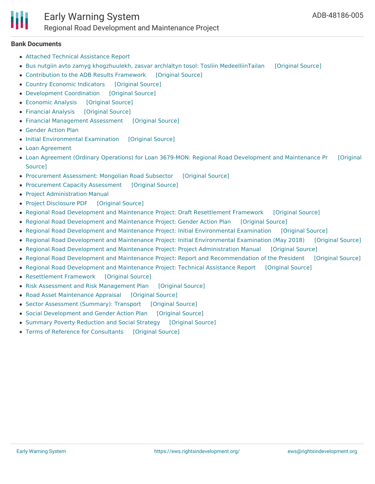

#### **Bank Documents**

- Attached Technical [Assistance](https://www.adb.org/projects/documents/mon-48186-005-rrp) Report
- Bus nutgiin avto zamyg khogzhuulekh, zasvar archlaltyn tosol: Tosliin [MedeelliinTailan](https://ewsdata.rightsindevelopment.org/files/documents/05/ADB-48186-005_xJMg1Nw.pdf) [\[Original](https://www.adb.org/projects/documents/mon-48186-005-project-data-sheet) Source]
- [Contribution](https://ewsdata.rightsindevelopment.org/files/documents/05/ADB-48186-005_PmoGm9x.pdf) to the ADB Results Framework [\[Original](https://www.adb.org/projects/documents/mon-48186-005-rrp) Source]
- Country Economic [Indicators](https://ewsdata.rightsindevelopment.org/files/documents/05/ADB-48186-005_Cki9cKL.pdf) [\[Original](https://www.adb.org/projects/documents/mon-48186-005-rrp) Source]
- [Development](https://ewsdata.rightsindevelopment.org/files/documents/05/ADB-48186-005_DL9hXHW.pdf) Coordination [\[Original](https://www.adb.org/projects/documents/mon-48186-005-rrp) Source]
- [Economic](https://ewsdata.rightsindevelopment.org/files/documents/05/ADB-48186-005_ablYCrl.pdf) Analysis [\[Original](https://www.adb.org/projects/documents/mon-48186-005-rrp) Source]
- [Financial](https://ewsdata.rightsindevelopment.org/files/documents/05/ADB-48186-005_Wp7ihPa.pdf) Analysis [\[Original](https://www.adb.org/projects/documents/mon-48186-005-rrp) Source]
- Financial [Management](https://ewsdata.rightsindevelopment.org/files/documents/05/ADB-48186-005_eqVM56A.pdf) Assessment [\[Original](https://www.adb.org/projects/documents/mon-48186-005-rrp) Source]
- [Gender](https://www.adb.org/projects/documents/mon-48186-005-rrp) Action Plan
- Initial [Environmental](https://ewsdata.rightsindevelopment.org/files/documents/05/ADB-48186-005_7ZKptQH.pdf) Examination [\[Original](https://www.adb.org/projects/documents/mon-48186-005-rrp) Source]
- Loan [Agreement](https://www.adb.org/projects/documents/mon-48186-005-rrp)
- Loan Agreement (Ordinary Operations) for Loan 3679-MON: Regional Road [Development](https://www.adb.org/projects/documents/mon-48186-005-lna) and Maintenance Pr [Original Source]
- [Procurement](https://ewsdata.rightsindevelopment.org/files/documents/05/ADB-48186-005_Rm9dyXg.pdf) Assessment: Mongolian Road Subsector [\[Original](https://www.adb.org/projects/documents/mon-48186-005-rrp) Source]
- [Procurement](https://ewsdata.rightsindevelopment.org/files/documents/05/ADB-48186-005_kng2h5D.pdf) Capacity Assessment [\[Original](https://www.adb.org/projects/documents/mon-48186-005-rrp) Source]
- Project [Administration](https://www.adb.org/projects/documents/mon-48186-005-rrp) Manual
- Project [Disclosure](https://ewsdata.rightsindevelopment.org/files/documents/05/ADB-48186-005.pdf) PDF [\[Original](https://www.adb.org/printpdf/projects/48186-005/main) Source]
- Regional Road Development and Maintenance Project: Draft [Resettlement](https://ewsdata.rightsindevelopment.org/files/documents/05/ADB-48186-005_LEB8Oqq.pdf) Framework [\[Original](https://www.adb.org/projects/documents/mon-48186-005-rf) Source]
- Regional Road [Development](https://ewsdata.rightsindevelopment.org/files/documents/05/ADB-48186-005_1MneV6p.pdf) and Maintenance Project: Gender Action Plan [\[Original](https://www.adb.org/projects/documents/mon-48186-005-gap) Source]
- Regional Road Development and Maintenance Project: Initial [Environmental](https://ewsdata.rightsindevelopment.org/files/documents/05/ADB-48186-005_P8EY7WZ.pdf) Examination [\[Original](https://www.adb.org/projects/documents/mon-48186-005-iee-0) Source]
- Regional Road Development and Maintenance Project: Initial [Environmental](https://ewsdata.rightsindevelopment.org/files/documents/05/ADB-48186-005_n6mDdLB.pdf) Examination (May 2018) [\[Original](https://www.adb.org/projects/documents/mon-48186-005-iee-1) Source]
- Regional Road Development and Maintenance Project: Project [Administration](https://ewsdata.rightsindevelopment.org/files/documents/05/ADB-48186-005_p20n0tv.pdf) Manual [\[Original](https://www.adb.org/projects/documents/mon-48186-005-pam) Source]
- Regional Road Development and Maintenance Project: Report and [Recommendation](https://ewsdata.rightsindevelopment.org/files/documents/05/ADB-48186-005_hoskPHl.pdf) of the President [\[Original](https://www.adb.org/projects/documents/mon-48186-005-rrp) Source]
- Regional Road [Development](https://ewsdata.rightsindevelopment.org/files/documents/05/ADB-48186-005_sULWVe6.pdf) and Maintenance Project: Technical Assistance Report [\[Original](https://www.adb.org/projects/documents/mon-48186-005-tar) Source]
- [Resettlement](https://ewsdata.rightsindevelopment.org/files/documents/05/ADB-48186-005_VwZkI7y.pdf) Framework [\[Original](https://www.adb.org/projects/documents/mon-48186-005-rrp) Source]
- Risk Assessment and Risk [Management](https://ewsdata.rightsindevelopment.org/files/documents/05/ADB-48186-005_zIoK7tr.pdf) Plan [\[Original](https://www.adb.org/projects/documents/mon-48186-005-rrp) Source]
- Road Asset [Maintenance](https://ewsdata.rightsindevelopment.org/files/documents/05/ADB-48186-005_Y7BsIXm.pdf) Appraisal [\[Original](https://www.adb.org/projects/documents/mon-48186-005-rrp) Source]
- Sector [Assessment](https://ewsdata.rightsindevelopment.org/files/documents/05/ADB-48186-005_2rPDhMJ.pdf) (Summary): Transport [\[Original](https://www.adb.org/projects/documents/mon-48186-005-rrp) Source]
- Social [Development](https://ewsdata.rightsindevelopment.org/files/documents/05/ADB-48186-005_X4xKytO.pdf) and Gender Action Plan [\[Original](https://www.adb.org/projects/documents/mon-48186-005-rrp) Source]
- Summary Poverty [Reduction](https://ewsdata.rightsindevelopment.org/files/documents/05/ADB-48186-005_1RpMKAx.pdf) and Social Strategy [\[Original](https://www.adb.org/projects/documents/mon-48186-005-rrp) Source]
- Terms of Reference for [Consultants](https://ewsdata.rightsindevelopment.org/files/documents/05/ADB-48186-005_coORoUr.pdf) [\[Original](https://www.adb.org/projects/documents/mon-48186-005-tar) Source]